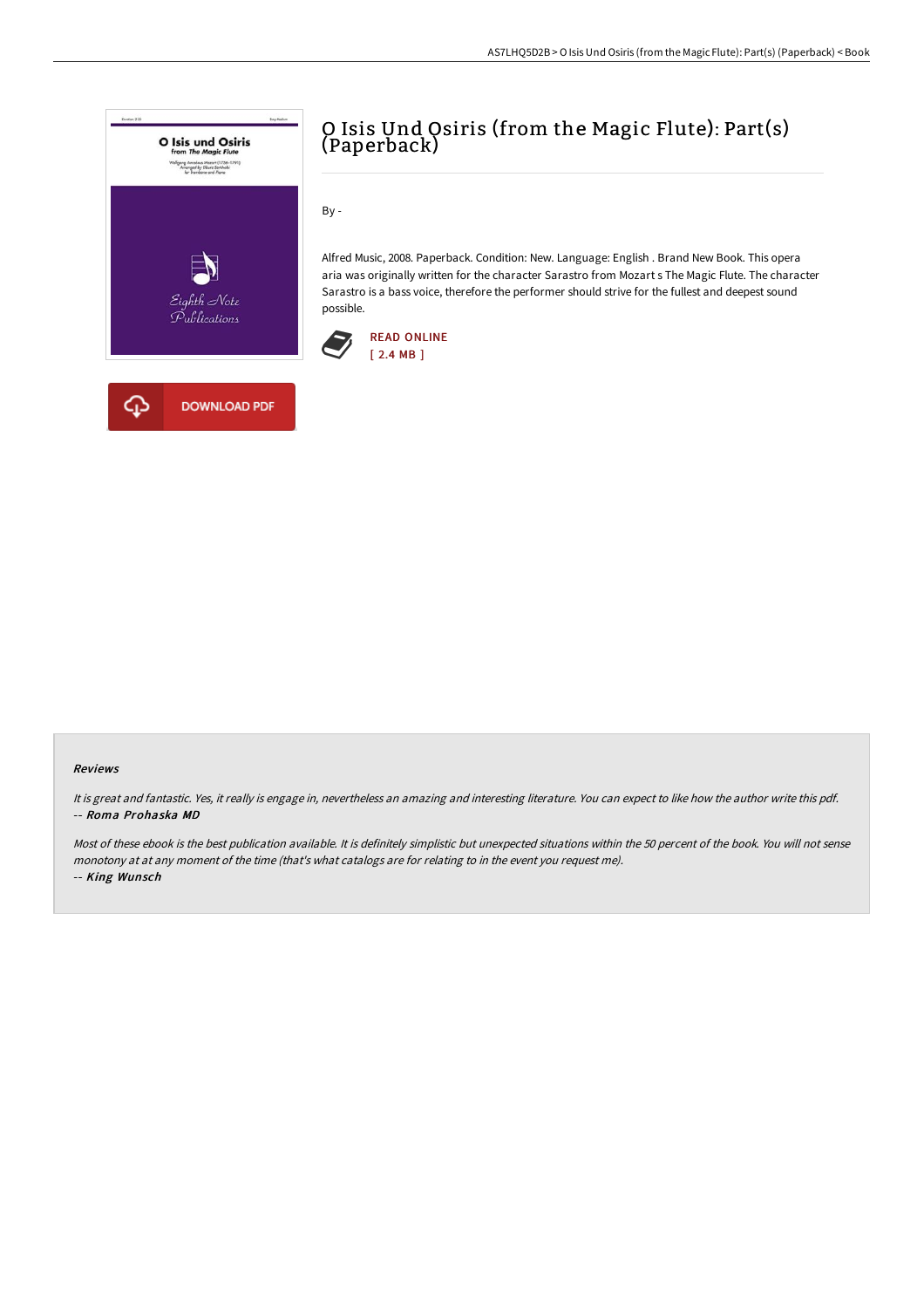

## O Isis Und Osiris (from the Magic Flute): Part(s) (Paperback)

By -

Alfred Music, 2008. Paperback. Condition: New. Language: English . Brand New Book. This opera aria was originally written for the character Sarastro from Mozart s The Magic Flute. The character Sarastro is a bass voice, therefore the performer should strive for the fullest and deepest sound possible.



## Reviews

It is great and fantastic. Yes, it really is engage in, nevertheless an amazing and interesting literature. You can expect to like how the author write this pdf. -- Roma Prohaska MD

Most of these ebook is the best publication available. It is definitely simplistic but unexpected situations within the 50 percent of the book. You will not sense monotony at at any moment of the time (that's what catalogs are for relating to in the event you request me). -- King Wunsch